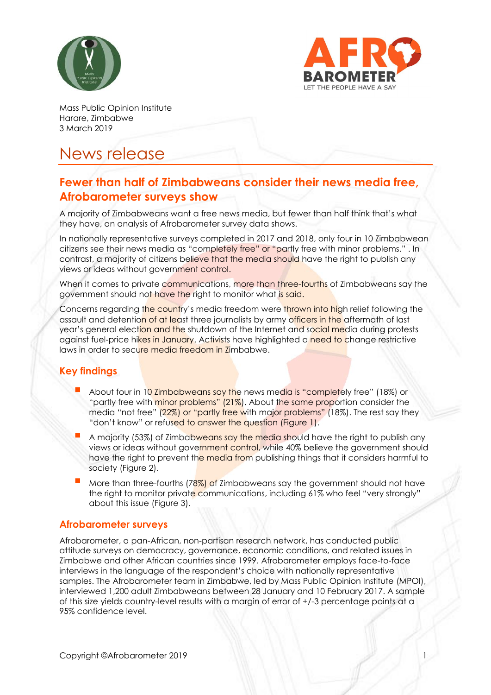



Mass Public Opinion Institute Harare, Zimbabwe 3 March 2019

# News release

## **Fewer than half of Zimbabweans consider their news media free, Afrobarometer surveys show**

A majority of Zimbabweans want a free news media, but fewer than half think that's what they have, an analysis of Afrobarometer survey data shows.

In nationally representative surveys completed in 2017 and 2018, only four in 10 Zimbabwean citizens see their news media as "completely free" or "partly free with minor problems." . In contrast, a majority of citizens believe that the media should have the right to publish any views or ideas without government control.

When it comes to private communications, more than three-fourths of Zimbabweans say the government should not have the right to monitor what is said.

Concerns regarding the country's media freedom were thrown into high relief following the assault and detention of at least three journalists by army officers in the aftermath of last year's general election and the shutdown of the Internet and social media during protests against fuel-price hikes in January. Activists have highlighted a need to change restrictive laws in order to secure media freedom in Zimbabwe.

### **Key findings**

- About four in 10 Zimbabweans say the news media is "completely free" (18%) or "partly free with minor problems" (21%). About the same proportion consider the media "not free" (22%) or "partly free with major problems" (18%). The rest say they "don't know" or refused to answer the question (Figure 1).
- A majority (53%) of Zimbabweans say the media should have the right to publish any views or ideas without government control, while 40% believe the government should have the right to prevent the media from publishing things that it considers harmful to society (Figure 2).
- More than three-fourths ( $78\%$ ) of Zimbabweans say the government should not have the right to monitor private communications, including 61% who feel "very strongly" about this issue (Figure 3).

#### **Afrobarometer surveys**

Afrobarometer, a pan-African, non-partisan research network, has conducted public attitude surveys on democracy, governance, economic conditions, and related issues in Zimbabwe and other African countries since 1999. Afrobarometer employs face-to-face interviews in the language of the respondent's choice with nationally representative samples. The Afrobarometer team in Zimbabwe, led by Mass Public Opinion Institute (MPOI), interviewed 1,200 adult Zimbabweans between 28 January and 10 February 2017. A sample of this size yields country-level results with a margin of error of +/-3 percentage points at a 95% confidence level.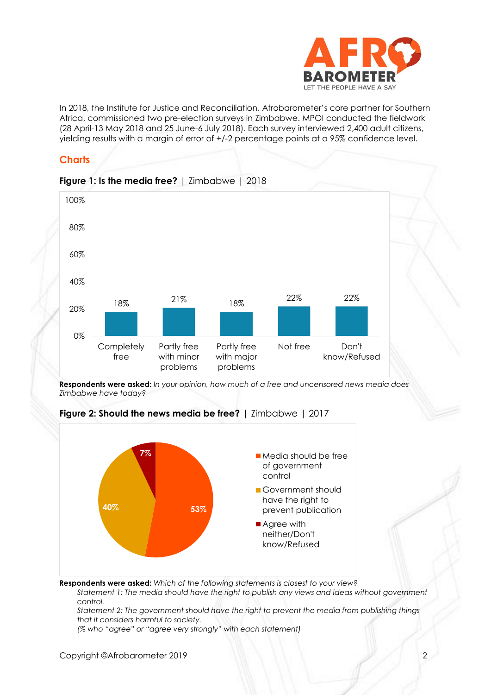

In 2018, the Institute for Justice and Reconciliation, Afrobarometer's core partner for Southern Africa, commissioned two pre-election surveys in Zimbabwe. MPOI conducted the fieldwork (28 April-13 May 2018 and 25 June-6 July 2018). Each survey interviewed 2,400 adult citizens, yielding results with a margin of error of +/-2 percentage points at a 95% confidence level.

### **Charts**



**Respondents were asked:** *In your opinion, how much of a free and uncensored news media does Zimbabwe have today?*



**Figure 2: Should the news media be free?** | Zimbabwe | 2017

**Respondents were asked:** *Which of the following statements is closest to your view?* 

*Statement 1: The media should have the right to publish any views and ideas without government control.*

*Statement 2: The government should have the right to prevent the media from publishing things that it considers harmful to society.*

*(% who "agree" or "agree very strongly" with each statement)*